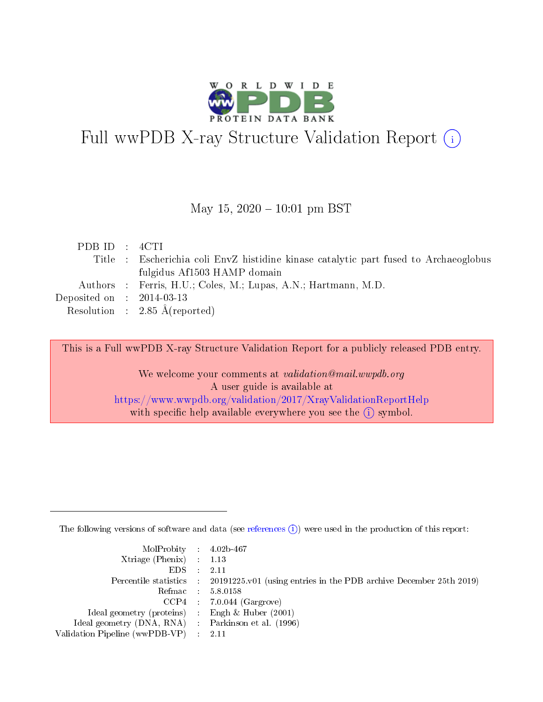

# Full wwPDB X-ray Structure Validation Report (i)

#### May 15,  $2020 - 10:01$  pm BST

| PDB ID : 4CTI                        |                                                                                      |
|--------------------------------------|--------------------------------------------------------------------------------------|
|                                      | Title : Escherichia coli EnvZ histidine kinase catalytic part fused to Archaeoglobus |
|                                      | fulgidus Af1503 HAMP domain                                                          |
|                                      | Authors : Ferris, H.U.; Coles, M.; Lupas, A.N.; Hartmann, M.D.                       |
| Deposited on $\therefore$ 2014-03-13 |                                                                                      |
|                                      | Resolution : $2.85 \text{ Å}$ (reported)                                             |

This is a Full wwPDB X-ray Structure Validation Report for a publicly released PDB entry.

We welcome your comments at validation@mail.wwpdb.org A user guide is available at <https://www.wwpdb.org/validation/2017/XrayValidationReportHelp> with specific help available everywhere you see the  $(i)$  symbol.

The following versions of software and data (see [references](https://www.wwpdb.org/validation/2017/XrayValidationReportHelp#references)  $(i)$ ) were used in the production of this report:

| $MolProbability$ 4.02b-467                          |                                                                                            |
|-----------------------------------------------------|--------------------------------------------------------------------------------------------|
| Xtriage (Phenix) $: 1.13$                           |                                                                                            |
| $EDS$ :                                             | -2.11                                                                                      |
|                                                     | Percentile statistics : 20191225.v01 (using entries in the PDB archive December 25th 2019) |
|                                                     | Refmac : 5.8.0158                                                                          |
|                                                     | $CCP4$ : 7.0.044 (Gargrove)                                                                |
| Ideal geometry (proteins) : Engh $\&$ Huber (2001)  |                                                                                            |
| Ideal geometry (DNA, RNA) : Parkinson et al. (1996) |                                                                                            |
| Validation Pipeline (wwPDB-VP)                      | -2.11                                                                                      |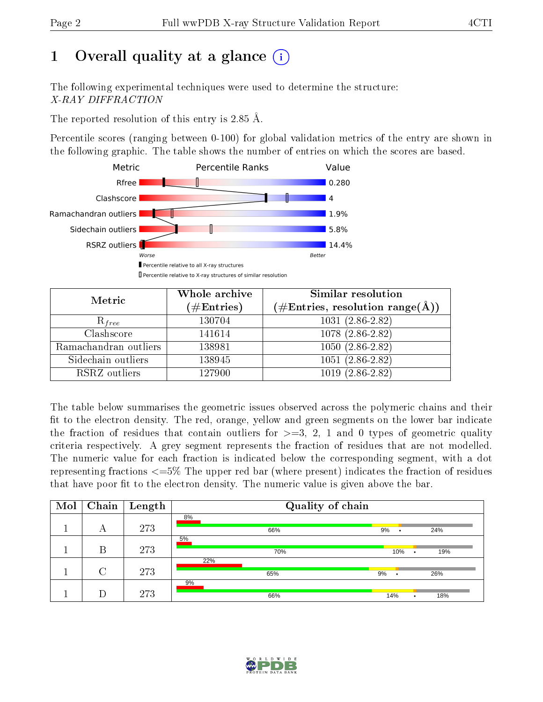# 1 [O](https://www.wwpdb.org/validation/2017/XrayValidationReportHelp#overall_quality)verall quality at a glance  $(i)$

The following experimental techniques were used to determine the structure: X-RAY DIFFRACTION

The reported resolution of this entry is 2.85 Å.

Percentile scores (ranging between 0-100) for global validation metrics of the entry are shown in the following graphic. The table shows the number of entries on which the scores are based.



| Metric                | Whole archive<br>$(\#\text{Entries})$ | <b>Similar resolution</b><br>$(\#\text{Entries}, \text{resolution range}(\text{\AA}))$ |
|-----------------------|---------------------------------------|----------------------------------------------------------------------------------------|
| $R_{free}$            | 130704                                | $1031(2.86-2.82)$                                                                      |
| Clashscore            | 141614                                | 1078 (2.86-2.82)                                                                       |
| Ramachandran outliers | 138981                                | $1050(2.86-2.82)$                                                                      |
| Sidechain outliers    | 138945                                | $1051(2.86-2.82)$                                                                      |
| RSRZ outliers         | 127900                                | $1019(2.86-2.82)$                                                                      |

The table below summarises the geometric issues observed across the polymeric chains and their fit to the electron density. The red, orange, yellow and green segments on the lower bar indicate the fraction of residues that contain outliers for  $>=3, 2, 1$  and 0 types of geometric quality criteria respectively. A grey segment represents the fraction of residues that are not modelled. The numeric value for each fraction is indicated below the corresponding segment, with a dot representing fractions  $\epsilon=5\%$  The upper red bar (where present) indicates the fraction of residues that have poor fit to the electron density. The numeric value is given above the bar.

| Mol | Chain  | $\mathbf{Length}$ | Quality of chain |            |  |  |
|-----|--------|-------------------|------------------|------------|--|--|
|     | А      | 273               | 8%<br>66%        | 9%<br>24%  |  |  |
|     | B      | 273               | 5%<br>70%        | 10%<br>19% |  |  |
|     | $\cap$ | 273               | 22%<br>65%       | 9%<br>26%  |  |  |
|     |        | 273               | 9%<br>66%        | 14%<br>18% |  |  |

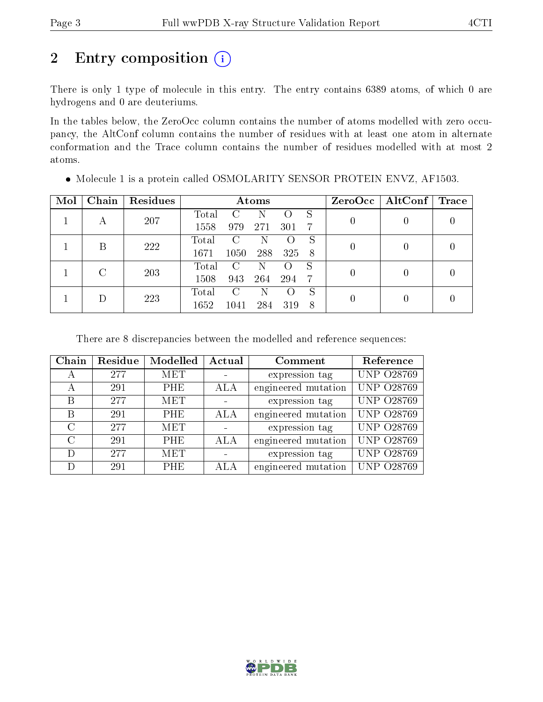# 2 Entry composition  $(i)$

There is only 1 type of molecule in this entry. The entry contains 6389 atoms, of which 0 are hydrogens and 0 are deuteriums.

In the tables below, the ZeroOcc column contains the number of atoms modelled with zero occupancy, the AltConf column contains the number of residues with at least one atom in alternate conformation and the Trace column contains the number of residues modelled with at most 2 atoms.

| Mol | Chain         | Residues | Atoms |      |     |     |     |                | $ZeroOcc \mid AltConf \mid$ | Trace |
|-----|---------------|----------|-------|------|-----|-----|-----|----------------|-----------------------------|-------|
|     |               | 207      | Total |      | N   |     | S   | 0              |                             |       |
|     | А             |          | 1558  | 979  | 271 | 301 | 7   |                |                             |       |
|     | В             | 222      | Total | C    | N   |     | S   | $\overline{0}$ |                             |       |
|     |               |          | 1671  | 1050 | 288 | 325 | - 8 |                |                             |       |
|     | $\mathcal{C}$ | 203      | Total | C    | N   |     | S   |                |                             |       |
|     |               | 1508     | 943   | 264  | 294 | -7  | 0   |                |                             |       |
|     |               |          | Total | C    | N   |     | S   | 0              |                             |       |
|     | 223           | 1652     | 1041  | 284  | 319 | -8  |     |                |                             |       |

 $\bullet$  Molecule 1 is a protein called OSMOLARITY SENSOR PROTEIN ENVZ, AF1503.

There are 8 discrepancies between the modelled and reference sequences:

| Chain             | Residue | Modelled   | Actual | Comment             | Reference         |
|-------------------|---------|------------|--------|---------------------|-------------------|
| A                 | 277     | <b>MET</b> |        | expression tag      | <b>UNP 028769</b> |
| А                 | 291     | PHE        | ALA    | engineered mutation | <b>UNP 028769</b> |
| B                 | 277     | <b>MET</b> |        | expression tag      | <b>UNP 028769</b> |
| B                 | 291     | <b>PHE</b> | ALA    | engineered mutation | <b>UNP 028769</b> |
| $\mathcal{C}$     | 277     | <b>MET</b> |        | expression tag      | <b>UNP 028769</b> |
| $\mathcal{C}_{1}$ | 291     | PHE        | ALA    | engineered mutation | <b>UNP 028769</b> |
| D                 | 277     | <b>MET</b> |        | expression tag      | <b>UNP 028769</b> |
| D)                | 291     | <b>PHE</b> | ALA    | engineered mutation | <b>UNP 028769</b> |

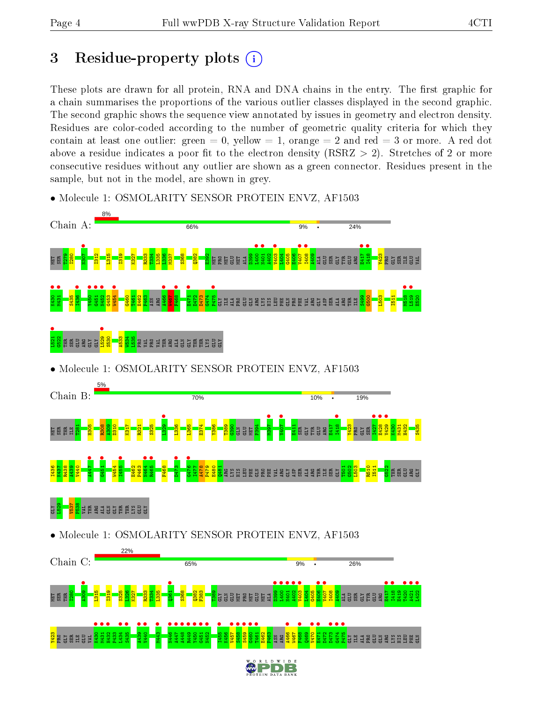## 3 Residue-property plots  $(i)$

These plots are drawn for all protein, RNA and DNA chains in the entry. The first graphic for a chain summarises the proportions of the various outlier classes displayed in the second graphic. The second graphic shows the sequence view annotated by issues in geometry and electron density. Residues are color-coded according to the number of geometric quality criteria for which they contain at least one outlier: green  $= 0$ , yellow  $= 1$ , orange  $= 2$  and red  $= 3$  or more. A red dot above a residue indicates a poor fit to the electron density (RSRZ  $> 2$ ). Stretches of 2 or more consecutive residues without any outlier are shown as a green connector. Residues present in the sample, but not in the model, are shown in grey.



• Molecule 1: OSMOLARITY SENSOR PROTEIN ENVZ, AF1503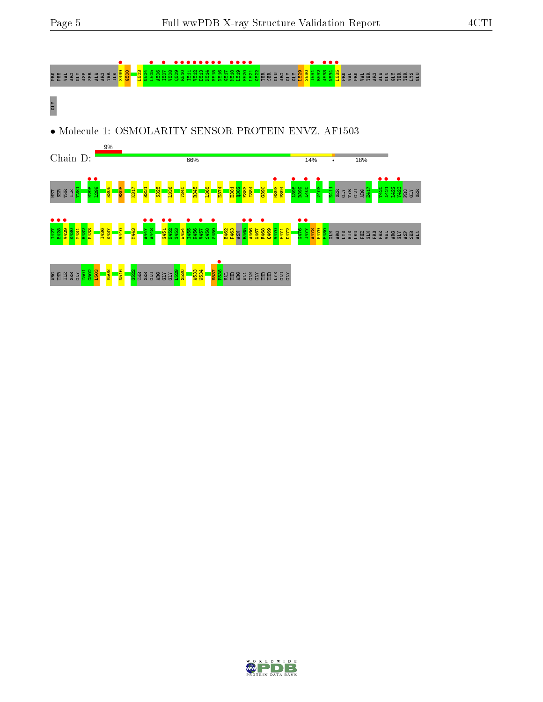



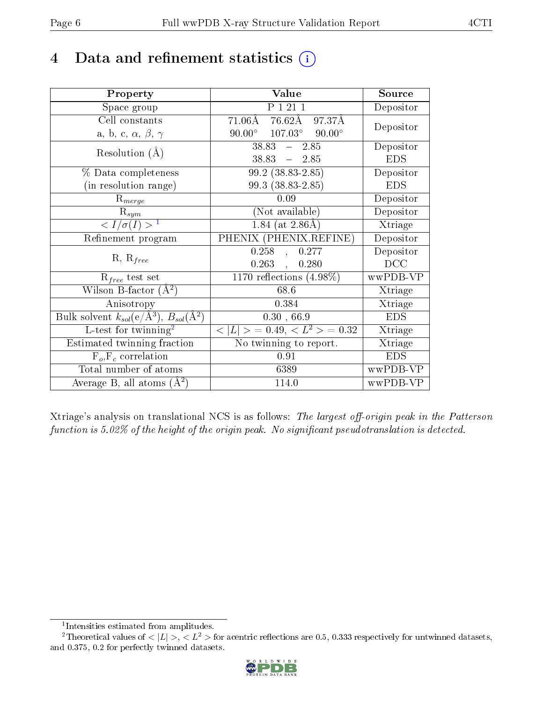## 4 Data and refinement statistics  $(i)$

| Property                                                         | Value                                             | Source     |
|------------------------------------------------------------------|---------------------------------------------------|------------|
| Space group                                                      | P 1 21 1                                          | Depositor  |
| Cell constants                                                   | $76.62\text{\AA}$<br>$71.06\text{\AA}$<br>97.37Å  |            |
| a, b, c, $\alpha$ , $\beta$ , $\gamma$                           | $107.03^{\circ}$ $90.00^{\circ}$<br>$90.00^\circ$ | Depositor  |
| Resolution $(A)$                                                 | $38.83 - 2.85$                                    | Depositor  |
|                                                                  | $38.83 - 2.85$                                    | <b>EDS</b> |
| % Data completeness                                              | $\overline{99.2}$ $(38.83 - 2.85)$                | Depositor  |
| (in resolution range)                                            | 99.3 (38.83-2.85)                                 | <b>EDS</b> |
| $R_{merge}$                                                      | 0.09                                              | Depositor  |
| $\mathrm{R}_{sym}$                                               | (Not available)                                   | Depositor  |
| $\langle I/\sigma(I) \rangle$ <sup>1</sup>                       | $1.84$ (at 2.86Å)                                 | Xtriage    |
| Refinement program                                               | PHENIX (PHENIX.REFINE)                            | Depositor  |
|                                                                  | 0.258<br>0.277<br>$\frac{1}{2}$                   | Depositor  |
| $R, R_{free}$                                                    | 0.263,<br>0.280                                   | DCC        |
| $\mathcal{R}_{free}$ test set                                    | $\overline{1170}$ reflections $(4.98\%)$          | wwPDB-VP   |
| Wilson B-factor $(A^2)$                                          | $68.6\,$                                          | Xtriage    |
| Anisotropy                                                       | 0.384                                             | Xtriage    |
| Bulk solvent $k_{sol}(\text{e}/\text{A}^3), B_{sol}(\text{A}^2)$ | 0.30, 66.9                                        | <b>EDS</b> |
| L-test for $\mathrm{twinning}^2$                                 | $< L >$ = 0.49, $< L^2 >$ = 0.32                  | Xtriage    |
| Estimated twinning fraction                                      | No twinning to report.                            | Xtriage    |
| $F_o, F_c$ correlation                                           | 0.91                                              | <b>EDS</b> |
| Total number of atoms                                            | 6389                                              | wwPDB-VP   |
| Average B, all atoms $(A^2)$                                     | 114.0                                             | wwPDB-VP   |

Xtriage's analysis on translational NCS is as follows: The largest off-origin peak in the Patterson function is  $5.02\%$  of the height of the origin peak. No significant pseudotranslation is detected.

<sup>&</sup>lt;sup>2</sup>Theoretical values of  $\langle |L| \rangle$ ,  $\langle L^2 \rangle$  for acentric reflections are 0.5, 0.333 respectively for untwinned datasets, and 0.375, 0.2 for perfectly twinned datasets.



<span id="page-5-1"></span><span id="page-5-0"></span><sup>1</sup> Intensities estimated from amplitudes.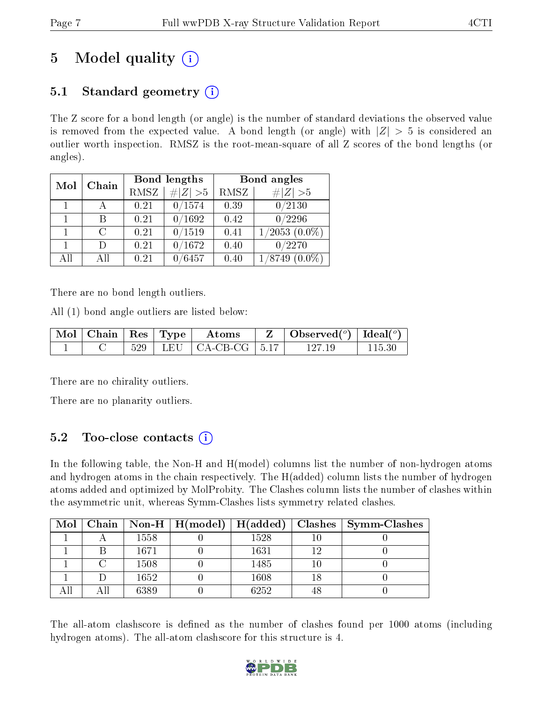# 5 Model quality  $(i)$

## 5.1 Standard geometry  $(i)$

The Z score for a bond length (or angle) is the number of standard deviations the observed value is removed from the expected value. A bond length (or angle) with  $|Z| > 5$  is considered an outlier worth inspection. RMSZ is the root-mean-square of all Z scores of the bond lengths (or angles).

| Mol | Chain |             | Bond lengths  | Bond angles |                              |  |
|-----|-------|-------------|---------------|-------------|------------------------------|--|
|     |       | <b>RMSZ</b> | $\# Z  > 5$   | RMSZ        | $\# Z  > 5$                  |  |
|     |       | 0.21        | 0/1574        | 0.39        | 0/2130                       |  |
|     |       | 0.21        | 0/1692        | 0.42        | 0/2296                       |  |
|     | C     | 0.21        | 0/1519        | 0.41        | $1/2053$ $(0.0\%)$           |  |
|     | Ð     | 0.21        | 0/1672        | 0.40        | 0/2270                       |  |
| AĦ  | ΑH    | 0.21        | $\sqrt{6457}$ | 0.40        | $^{\prime}8749$<br>$(0.0\%)$ |  |

There are no bond length outliers.

All (1) bond angle outliers are listed below:

| $\mid$ Mol $\mid$ Chain $\mid$ Res $\mid$ Type $\mid$ |     | Atoms                             | $\mid$ Observed $({}^{\circ})$   Ideal $({}^{\circ})$ |  |
|-------------------------------------------------------|-----|-----------------------------------|-------------------------------------------------------|--|
|                                                       | 529 | LEU $\vert$ CA-CB-CG $\vert$ 5.17 | 197 IC                                                |  |

There are no chirality outliers.

There are no planarity outliers.

## $5.2$  Too-close contacts  $(i)$

In the following table, the Non-H and H(model) columns list the number of non-hydrogen atoms and hydrogen atoms in the chain respectively. The H(added) column lists the number of hydrogen atoms added and optimized by MolProbity. The Clashes column lists the number of clashes within the asymmetric unit, whereas Symm-Clashes lists symmetry related clashes.

| $Mol \mid$ |      | $\mid$ Chain $\mid$ Non-H $\mid$ H(model) $\mid$ H(added) $\mid$ |      | $\vert$ Clashes $\vert$ Symm-Clashes |
|------------|------|------------------------------------------------------------------|------|--------------------------------------|
|            | 1558 |                                                                  | 1528 |                                      |
|            | 1671 |                                                                  | 1631 |                                      |
|            | 1508 |                                                                  | 1485 |                                      |
|            | 1652 |                                                                  | 1608 |                                      |
|            | 6389 |                                                                  | 6252 |                                      |

The all-atom clashscore is defined as the number of clashes found per 1000 atoms (including hydrogen atoms). The all-atom clashscore for this structure is 4.

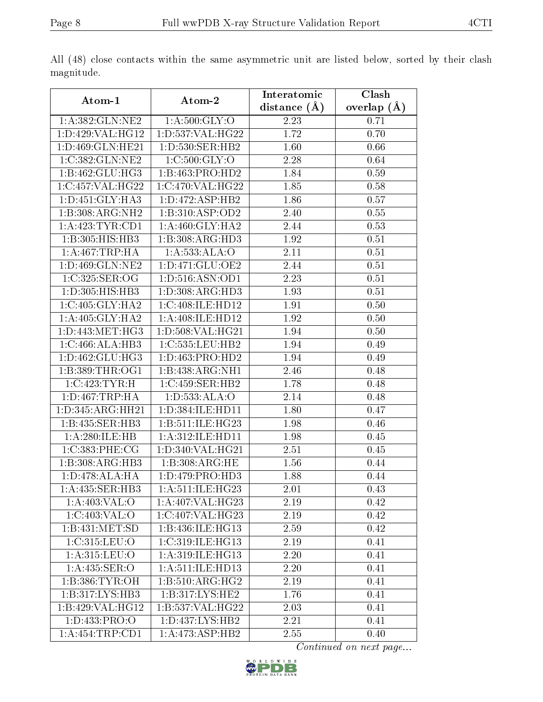|                     |                              | Interatomic    | Clash           |
|---------------------|------------------------------|----------------|-----------------|
| Atom-1              | Atom-2                       | distance $(A)$ | overlap $(\AA)$ |
| 1: A: 382: GLN: NE2 | 1: A:500: GLY:O              | 2.23           | 0.71            |
| 1:D:429:VAL:HG12    | 1: D: 537: VAL:HG22          | 1.72           | 0.70            |
| 1:D:469:GLN:HE21    | 1: D: 530: SER: HB2          | 1.60           | 0.66            |
| 1:C:382:GLN:NE2     | 1: C:500: GLY:O              | 2.28           | 0.64            |
| 1:B:462:GLU:HG3     | 1:B:463:PRO:HD2              | 1.84           | 0.59            |
| 1:C:457:VAL:HG22    | 1:C:470:VAL:HG22             | 1.85           | 0.58            |
| 1: D: 451: GLY: HA3 | 1: D: 472: ASP: HB2          | 1.86           | 0.57            |
| 1:B:308:ARG:NH2     | 1:B:310:ASP:OD2              | 2.40           | 0.55            |
| 1:A:423:TYR:CD1     | 1: A:460: GLY:HA2            | 2.44           | 0.53            |
| 1:B:305:HIS:HB3     | 1:B:308:ARG:HD3              | 1.92           | 0.51            |
| 1:A:467:TRP:HA      | 1:A:533:ALA:O                | 2.11           | 0.51            |
| 1: D: 469: GLN: NE2 | 1:D:471:GLU:OE2              | 2.44           | 0.51            |
| 1:C:325:SER:OG      | 1: D:516: ASN: OD1           | 2.23           | 0.51            |
| 1:D:305:HIS:HB3     | 1: D: 308: ARG: HD3          | 1.93           | 0.51            |
| 1:C:405:GLY:HA2     | 1:C:408:ILE:HD12             | 1.91           | 0.50            |
| 1: A:405: GLY:HA2   | 1: A:408: ILE: HD12          | 1.92           | 0.50            |
| 1: D: 443: MET: HG3 | 1: D: 508: VAL:HG21          | 1.94           | 0.50            |
| 1:C:466:ALA:HB3     | 1:C:535:LEU:HB2              | 1.94           | 0.49            |
| 1:D:462:GLU:HG3     | $1:D:463:P\overline{RO:HD2}$ | 1.94           | 0.49            |
| 1: B:389: THR:OG1   | 1:B:438:ARG:NH1              | 2.46           | 0.48            |
| 1:C:423:TYR:H       | 1:C:459:SER:HB2              | 1.78           | 0.48            |
| 1: D: 467: TRP: HA  | 1: D: 533: ALA: O            | 2.14           | 0.48            |
| 1:D:345:ARG:HH21    | 1:D:384:ILE:HD11             | 1.80           | 0.47            |
| 1:B:435:SER:HB3     | 1:B:511:ILE:HG23             | 1.98           | 0.46            |
| 1:A:280:ILE:HB      | 1: A:312: ILE: HD11          | 1.98           | 0.45            |
| 1:C:383:PHE:CG      | 1:D:340:VAL:HG21             | 2.51           | 0.45            |
| 1:B:308:ARG:HB3     | 1:B:308:ARG:HE               | 1.56           | 0.44            |
| 1:D:478:ALA:HA      | 1:D:479:PRO:HD3              | 1.88           | 0.44            |
| 1: A: 435: SER: HB3 | 1: A:511: ILE:HG23           | 2.01           | 0.43            |
| 1:A:403:VAL:O       | 1:A:407:VAL:HG23             | 2.19           | 0.42            |
| 1:C:403:VAL:O       | 1:C:407:VAL:HG23             | 2.19           | 0.42            |
| 1: B:431: MET:SD    | 1:B:436:ILE:HG13             | 2.59           | 0.42            |
| 1:C:315:LEU:O       | 1:C:319:ILE:HG13             | 2.19           | 0.41            |
| 1: A:315: LEU:O     | 1: A:319: ILE: HG13          | 2.20           | 0.41            |
| 1:A:435:SER:O       | 1: A:511: ILE: HD13          | 2.20           | 0.41            |
| 1: B: 386: TYR: OH  | 1:B:510:ARG:HG2              | 2.19           | 0.41            |
| 1: B: 317: LYS: HB3 | 1:B:317:LYS:HE2              | 1.76           | 0.41            |
| 1:B:429:VAL:HG12    | 1:B:537:VAL:HG22             | 2.03           | 0.41            |
| 1:D:433:PRO:O       | 1: D: 437: LYS: HB2          | 2.21           | 0.41            |
| 1:A:454:TRP:CD1     | 1:A:473:ASP:HB2              | 2.55           | 0.40            |

All (48) close contacts within the same asymmetric unit are listed below, sorted by their clash magnitude.

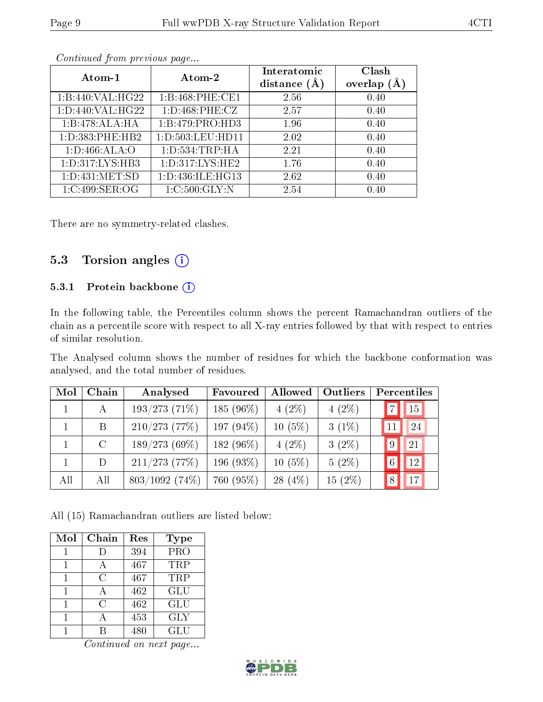| Atom-1               | Atom-2               | Interatomic<br>distance $(A)$ | Clash<br>overlap $(A)$ |
|----------------------|----------------------|-------------------------------|------------------------|
| 1:B:440:VAL:HG22     | 1:B:468:PHE:CE1      | 2.56                          | 0.40                   |
| 1: D: 440: VAL: HG22 | 1: D: 468: PHE: CZ   | 2.57                          | 0.40                   |
| 1:B:478:ALA:HA       | 1:B:479:PRO:HD3      | 1.96                          | 0.40                   |
| 1: D: 383: PHE: HB2  | 1: D: 503: LEU: HD11 | 2.02                          | 0.40                   |
| 1: D: 466: ALA: O    | 1: D: 534: TRP: HA   | 2.21                          | 0.40                   |
| 1: D: 317: LYS: HB3  | 1: D: 317: LYS: HE2  | 1.76                          | 0.40                   |
| 1: D: 431: MET: SD   | 1:D:436:ILE:HG13     | 2.62                          | 0.40                   |
| 1:C:499:SER:OG       | 1:C:500:GLY:N        | 2.54                          | 0.40                   |

There are no symmetry-related clashes.

### 5.3 Torsion angles  $(i)$

#### 5.3.1 Protein backbone (i)

In the following table, the Percentiles column shows the percent Ramachandran outliers of the chain as a percentile score with respect to all X-ray entries followed by that with respect to entries of similar resolution.

The Analysed column shows the number of residues for which the backbone conformation was analysed, and the total number of residues.

| Mol | Chain   | Analysed         | Favoured  | Allowed   | <b>Outliers</b> | Percentiles |                 |
|-----|---------|------------------|-----------|-----------|-----------------|-------------|-----------------|
|     | А       | $193/273$ (71%)  | 185 (96%) | $4(2\%)$  | $4(2\%)$        | 7           | $\overline{15}$ |
|     | B       | $210/273$ (77%)  | 197 (94%) | $10(5\%)$ | $3(1\%)$        |             | 24              |
|     | $\rm C$ | $189/273(69\%)$  | 182 (96%) | $4(2\%)$  | $3(2\%)$        | 9           | $\overline{21}$ |
|     | D       | $211/273$ (77%)  | 196 (93%) | $10(5\%)$ | $5(2\%)$        | 6           | 12              |
| All | All     | $803/1092$ (74%) | 760 (95%) | $28(4\%)$ | $15(2\%)$       | 8           | 17              |

All (15) Ramachandran outliers are listed below:

| Mol | Chain | Res | <b>Type</b>             |
|-----|-------|-----|-------------------------|
|     |       | 394 | $\overline{\text{PRO}}$ |
|     |       | 467 | TRP                     |
|     | C     | 467 | TRP                     |
|     |       | 462 | GLU                     |
|     | C     | 462 | <b>GLU</b>              |
|     |       | 453 | <b>GLY</b>              |
|     |       | 480 | GLU                     |

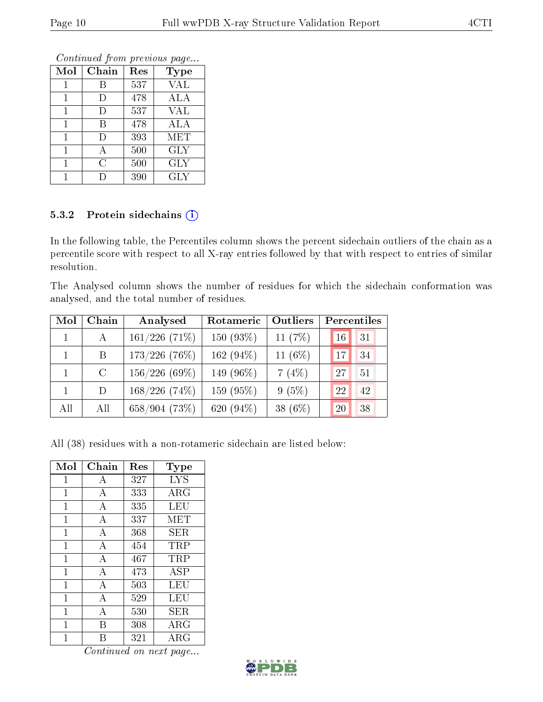#### 5.3.2 Protein sidechains  $(i)$

In the following table, the Percentiles column shows the percent sidechain outliers of the chain as a percentile score with respect to all X-ray entries followed by that with respect to entries of similar resolution.

The Analysed column shows the number of residues for which the sidechain conformation was analysed, and the total number of residues.

| Mol | Chain   | Analysed        | Rotameric    | Outliers  | Percentiles |    |
|-----|---------|-----------------|--------------|-----------|-------------|----|
|     | A       | $161/226$ (71%) | 150 $(93\%)$ | 11 $(7%)$ | 16          | 31 |
|     | Β       | $173/226$ (76%) | 162 $(94\%)$ | 11 $(6%)$ | 17          | 34 |
|     | $\rm C$ | 156/226(69%)    | 149 (96\%)   | 7(4%)     | 27          | 51 |
|     | D       | $168/226(74\%)$ | 159 (95%)    | $9(5\%)$  | 22          | 42 |
| All | All     | 658/904(73%)    | 620 (94%)    | 38 (6%)   | 20          | 38 |

All (38) residues with a non-rotameric sidechain are listed below:

| Mol | Chain          | Res | Type       |
|-----|----------------|-----|------------|
| 1   | А              | 327 | <b>LYS</b> |
| 1   | A              | 333 | ARG        |
| 1   | А              | 335 | LEU        |
| 1   | А              | 337 | MET        |
| 1   | А              | 368 | SER        |
| 1   | А              | 454 | TRP        |
| 1   | $\overline{A}$ | 467 | TRP        |
| 1   | А              | 473 | ASP        |
| 1   | А              | 503 | LEU        |
| 1   | $\overline{A}$ | 529 | LEU        |
| 1   | А              | 530 | SER.       |
| 1   | B              | 308 | $\rm{ARG}$ |
| 1   | R              | 321 | $\rm{ARG}$ |



 $Mol$  | Chain | Res | Type 1 | B | 537 | VAL 1 | D | 478 | ALA  $1 \quad | \quad D \quad | \quad 537 \quad | \quad \text{VAL}$ 1 | B | 478 | ALA 1 D 393 MET  $1 \mid A \mid 500 \mid \text{GLY}$ 1 C 500 GLY 1 D 390 GLY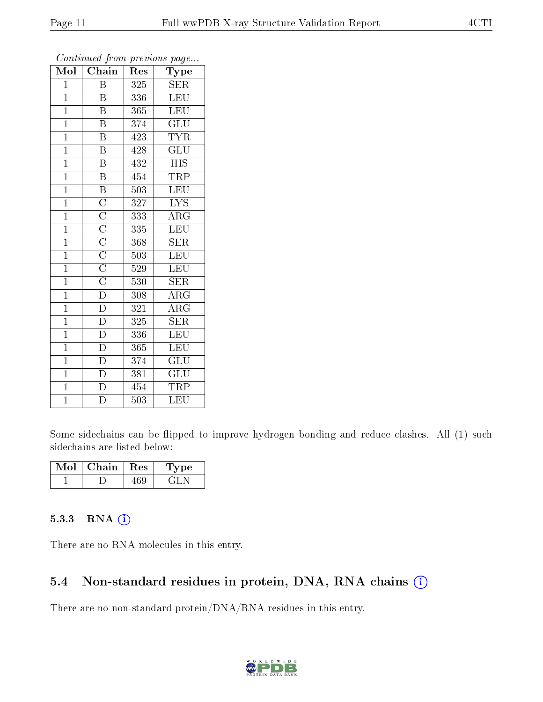| $\overline{\text{Mol}}$ | Chain                                                                                                       | Res | $\mathbf{r}$<br>$\overline{\phantom{a}}$<br>Type |
|-------------------------|-------------------------------------------------------------------------------------------------------------|-----|--------------------------------------------------|
| $\mathbf 1$             | B                                                                                                           | 325 | <b>SER</b>                                       |
| $\mathbf{1}$            | B                                                                                                           | 336 | <b>LEU</b>                                       |
| $\overline{1}$          | $\overline{\mathrm{B}}$                                                                                     | 365 | <b>LEU</b>                                       |
| $\mathbf{1}$            | Β                                                                                                           | 374 | $\widetilde{{\rm GLU}}$                          |
| $\overline{1}$          | $\overline{\mathrm{B}}$                                                                                     | 423 | <b>TYR</b>                                       |
| $\overline{1}$          | $\overline{\mathrm{B}}$                                                                                     | 428 | GLU                                              |
| $\mathbf{1}$            | $\overline{\mathrm{B}}$                                                                                     | 432 | <b>HIS</b>                                       |
| $\mathbf{1}$            | $\overline{\text{B}}$                                                                                       | 454 | <b>TRP</b>                                       |
| $\mathbf{1}$            | $\overline{\mathrm{B}}$                                                                                     | 503 | LEU                                              |
| $\overline{1}$          | $\frac{\overline{C}}{\overline{C}}$ $\frac{\overline{C}}{\overline{C}}$ $\frac{\overline{C}}{\overline{C}}$ | 327 | $\overline{\text{LYS}}$                          |
| $\mathbf{1}$            |                                                                                                             | 333 | $\rm{ARG}$                                       |
| $\overline{1}$          |                                                                                                             | 335 | LEU                                              |
| $\overline{1}$          |                                                                                                             | 368 | <b>SER</b>                                       |
| $\overline{1}$          |                                                                                                             | 503 | LEU                                              |
| $\overline{1}$          |                                                                                                             | 529 | LEU                                              |
| $\overline{1}$          |                                                                                                             | 530 | <b>SER</b>                                       |
| $\overline{1}$          | $\overline{\rm D}$                                                                                          | 308 | $\overline{\rm{ARG}}$                            |
| $\mathbf{1}$            | $\overline{\rm D}$                                                                                          | 321 | $\rm{ARG}$                                       |
| $\mathbf{1}$            | $\mathbf D$                                                                                                 | 325 | <b>SER</b>                                       |
| $\overline{1}$          | $\overline{\rm D}$                                                                                          | 336 | <b>LEU</b>                                       |
| $\overline{1}$          | $\overline{\rm D}$                                                                                          | 365 | <b>LEU</b>                                       |
| $\overline{1}$          | $\overline{D}$                                                                                              | 374 | $\overline{{\rm GLU}}$                           |
| $\mathbf{1}$            | $\overline{\rm D}$                                                                                          | 381 | $\mathrm{GLU}$                                   |
| $\overline{1}$          | $\overline{\rm D}$                                                                                          | 454 | TRP                                              |
| $\overline{1}$          | $\overline{\rm D}$                                                                                          | 503 | LEU                                              |

Some sidechains can be flipped to improve hydrogen bonding and reduce clashes. All (1) such sidechains are listed below:

| Mol | Chain | $\perp$ $\rm Res$ | vpe |
|-----|-------|-------------------|-----|
|     |       |                   |     |

#### 5.3.3 RNA (1)

There are no RNA molecules in this entry.

#### 5.4 Non-standard residues in protein, DNA, RNA chains (i)

There are no non-standard protein/DNA/RNA residues in this entry.

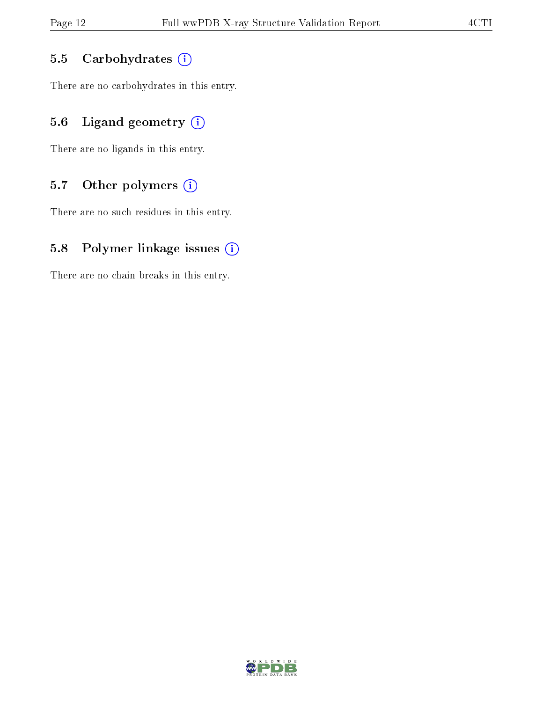#### 5.5 Carbohydrates (i)

There are no carbohydrates in this entry.

### 5.6 Ligand geometry  $(i)$

There are no ligands in this entry.

#### 5.7 [O](https://www.wwpdb.org/validation/2017/XrayValidationReportHelp#nonstandard_residues_and_ligands)ther polymers (i)

There are no such residues in this entry.

#### 5.8 Polymer linkage issues  $(i)$

There are no chain breaks in this entry.

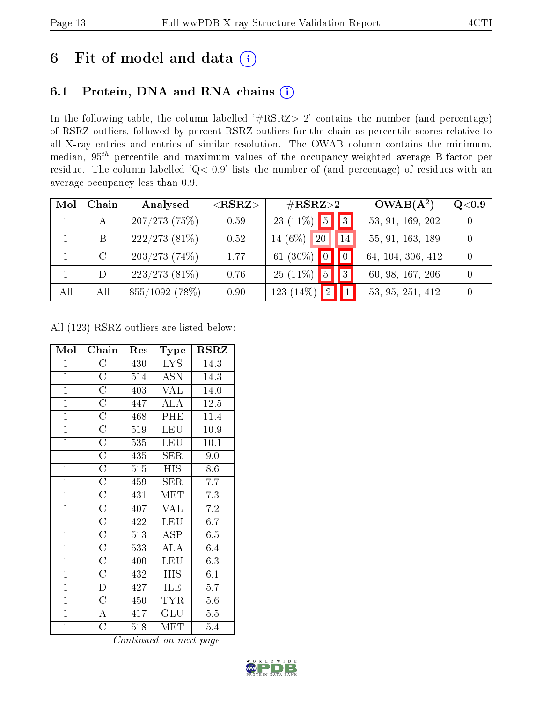## 6 Fit of model and data  $(i)$

## 6.1 Protein, DNA and RNA chains  $(i)$

In the following table, the column labelled  $#RSRZ> 2'$  contains the number (and percentage) of RSRZ outliers, followed by percent RSRZ outliers for the chain as percentile scores relative to all X-ray entries and entries of similar resolution. The OWAB column contains the minimum, median,  $95<sup>th</sup>$  percentile and maximum values of the occupancy-weighted average B-factor per residue. The column labelled ' $Q< 0.9$ ' lists the number of (and percentage) of residues with an average occupancy less than 0.9.

| Mol | Chain   | Analysed         | $<$ RSRZ $>$ | $\rm \#RSRZ{>}2$                             | $OWAB(A^2)$       | Q <sub>0.9</sub> |
|-----|---------|------------------|--------------|----------------------------------------------|-------------------|------------------|
|     | А       | $207/273$ (75%)  | 0.59         | $\boxed{3}$<br>$23(11\%)$<br>$\vert 5 \vert$ | 53, 91, 169, 202  |                  |
|     | B       | $222/273$ (81\%) | 0.52         | 14 $(6\%)$<br><b>20</b><br>14                | 55, 91, 163, 189  |                  |
|     | $\rm C$ | $203/273$ (74\%) | 1.77         | 61 $(30\%)$                                  | 64, 104, 306, 412 |                  |
|     | D       | $223/273$ (81\%) | 0.76         | $25(11\%)$<br> 3 <br>$15^{\degree}$          | 60, 98, 167, 206  |                  |
| All | All     | 855/1092 (78%)   | 0.90         | 123 (14%) $\boxed{2}$ $\boxed{1}$            | 53, 95, 251, 412  |                  |

All (123) RSRZ outliers are listed below:

| Mol            | Chain              | Res | Type                    | $_{\rm RSRZ}$ |
|----------------|--------------------|-----|-------------------------|---------------|
| $\mathbf{1}$   | $\overline{\rm C}$ | 430 | LYS.                    | 14.3          |
| $\overline{1}$ | $\mathcal{C}$      | 514 | <b>ASN</b>              | 14.3          |
| $\mathbf{1}$   | $\overline{\rm C}$ | 403 | <b>VAL</b>              | 14.0          |
| $\overline{1}$ | $\overline{C}$     | 447 | ALA                     | 12.5          |
| $\overline{1}$ | $\mathcal C$       | 468 | PHE                     | 11.4          |
| $\overline{1}$ | $\overline{\rm C}$ | 519 | <b>LEU</b>              | 10.9          |
| $\mathbf{1}$   | $\overline{C}$     | 535 | <b>LEU</b>              | 10.1          |
| $\mathbf{1}$   | $\overline{\rm C}$ | 435 | ${\rm SER}$             | 9.0           |
| $\overline{1}$ | $\overline{\rm C}$ | 515 | <b>HIS</b>              | 8.6           |
| $\overline{1}$ | $\mathcal C$       | 459 | <b>SER</b>              | 7.7           |
| $\mathbf{1}$   | $\overline{C}$     | 431 | MET                     | 7.3           |
| $\overline{1}$ | $\overline{\rm C}$ | 407 | $\overline{\text{VAL}}$ | 7.2           |
| $\mathbf{1}$   | $\overline{C}$     | 422 | <b>LEU</b>              | 6.7           |
| $\mathbf{1}$   | $\overline{\rm C}$ | 513 | ASP                     | 6.5           |
| $\overline{1}$ | $\overline{\rm C}$ | 533 | ALA                     | 6.4           |
| $\overline{1}$ | $\overline{\rm C}$ | 400 | <b>LEU</b>              | 6.3           |
| $\overline{1}$ | $\overline{\rm C}$ | 432 | <b>HIS</b>              | 6.1           |
| $\mathbf{1}$   | D                  | 427 | ILE                     | 5.7           |
| $\mathbf{1}$   | $\overline{\rm C}$ | 450 | TYR                     | 5.6           |
| $\overline{1}$ | $\overline{\rm A}$ | 417 | GLU                     | $5.5\,$       |
| $\mathbf 1$    | $\overline{\rm C}$ | 518 | MET                     | 5.4           |

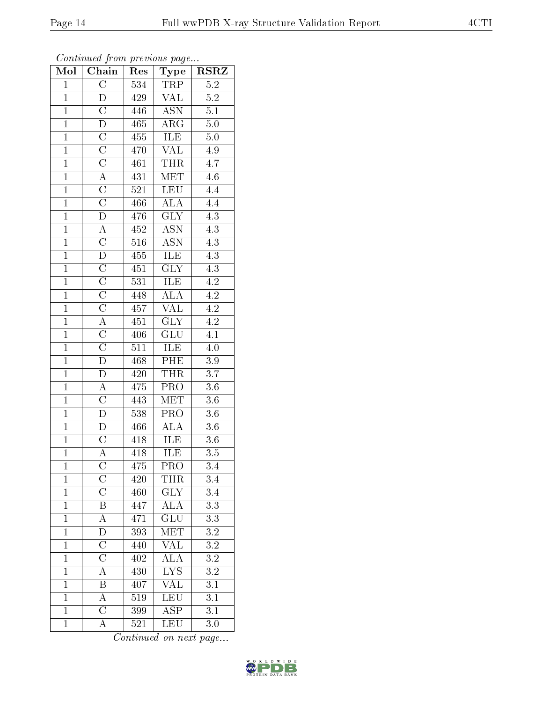| $\mathbf{1}$   | $\mathcal C$          | 470 | VAL                     | 4.9                 |  |
|----------------|-----------------------|-----|-------------------------|---------------------|--|
| $\overline{1}$ | $\overline{C}$        | 461 | <b>THR</b>              | 4.7                 |  |
| $\overline{1}$ | А                     | 431 | <b>MET</b>              | 4.6                 |  |
| $\overline{1}$ | $\overline{\rm C}$    | 521 | <b>LEU</b>              | 4.4                 |  |
| $\overline{1}$ | $\overline{\rm C}$    | 466 | <b>ALA</b>              | 4.4                 |  |
| $\overline{1}$ | $\overline{D}$        | 476 | $\overline{\text{GLY}}$ | 4.3                 |  |
| $\overline{1}$ | А                     | 452 | $\overline{\text{ASN}}$ | 4.3                 |  |
| $\overline{1}$ | $\mathcal{C}$         | 516 | <b>ASN</b>              | 4.3                 |  |
| $\overline{1}$ | D                     | 455 | ILE                     | 4.3                 |  |
| $\overline{1}$ | $\overline{\rm C}$    | 451 | $\overline{\text{GLY}}$ | 4.3                 |  |
| $\overline{1}$ | $\overline{\rm C}$    | 531 | ILE                     | $4.2^{\overline{}}$ |  |
| $\overline{1}$ | $\overline{\rm C}$    | 448 | ALA                     | 4.2                 |  |
| $\overline{1}$ | $\mathcal C$          | 457 | $\overline{\text{VAL}}$ | 4.2                 |  |
| $\overline{1}$ | $\overline{\rm A}$    | 451 | <b>GLY</b>              | 4.2                 |  |
| $\overline{1}$ | $\overline{\rm C}$    | 406 | $\overline{\text{GLU}}$ | $\overline{4.1}$    |  |
| $\overline{1}$ | $\overline{\text{C}}$ | 511 | ILE                     | $4.0\,$             |  |
| $\overline{1}$ | D                     | 468 | PHE                     | $3.9\,$             |  |
| $\overline{1}$ | D                     | 420 | <b>THR</b>              | 3.7                 |  |
| $\overline{1}$ | $\overline{A}$        | 475 | $\overline{\text{PRO}}$ | $3.6\,$             |  |
| $\overline{1}$ | $\overline{\rm C}$    | 443 | <b>MET</b>              | 3.6                 |  |
| $\overline{1}$ | $\mathbf{D}$          | 538 | PRO                     | $3.6\,$             |  |
| $\overline{1}$ | ${\rm D}$             | 466 | ALA                     | $3.6\,$             |  |
| $\overline{1}$ | $\mathcal{C}$         | 418 | ILE                     | 3.6                 |  |
| $\overline{1}$ | $\overline{A}$        | 418 | <b>ILE</b>              | $3.5\,$             |  |
| $\overline{1}$ | $\mathcal{C}$         | 475 | PRO                     | 3.4                 |  |
| $\overline{1}$ | $\mathcal{C}$         | 420 | <b>THR</b>              | 3.4                 |  |
| $\overline{1}$ | $\overline{\rm C}$    | 460 | $\overline{\text{GLY}}$ | 3.4                 |  |

Mol | Chain | Res | Type | RSRZ  $1 \mid C \mid 534 \mid \text{TRP} \mid 5.2$ 1 D 429 VAL 5.2 1 | C | 446 | ASN | 5.1 D 465 ARG 5.0

1 C 455 ILE 5.0<br>1 C 470 VAL 4.9

Continued on next page...

1 | B | 447 | ALA | 3.3 A 471 GLU 3.3 1 D 393 MET 3.2 1 C 440 VAL 3.2 1 | C | 402 | ALA | 3.2 1 A 430 LYS 3.2 1 B 407 VAL 3.1

1 A 519 LEU 3.1<br>1 C 399 ASP 3.1

1 A 521 LEU 3.0

1 C 399 ASP

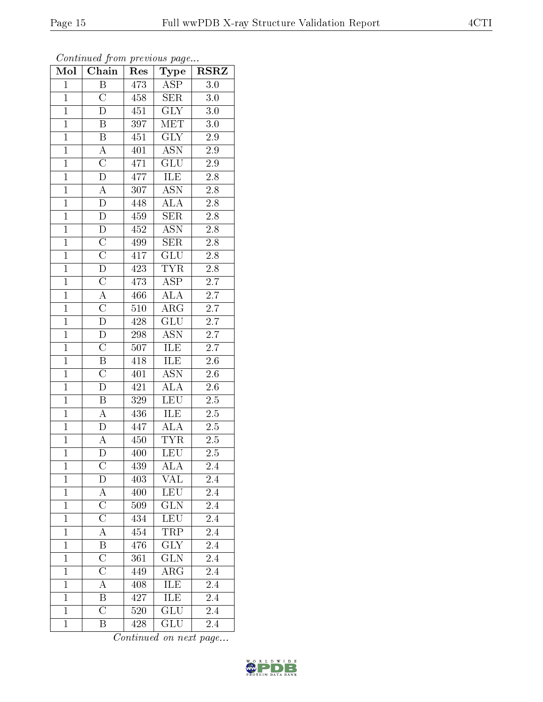| Mol            | Continued from previous page<br>Chain | Res              | <b>Type</b>               | $R\overline{\mathrm{SRZ}}$ |
|----------------|---------------------------------------|------------------|---------------------------|----------------------------|
| $\mathbf 1$    | Β                                     | 473              | $\overline{\text{ASP}}$   | 3.0                        |
| $\mathbf{1}$   | $\overline{\rm C}$                    | 458              | <b>SER</b>                | 3.0                        |
| $\mathbf{1}$   | $\overline{\rm D}$                    | 451              | $\overline{\text{GLY}}$   | 3.0                        |
| $\overline{1}$ | $\overline{B}$                        | 397              | MET                       | $3.0\,$                    |
| $\mathbf{1}$   | $\overline{\mathrm{B}}$               | 451              | $\overline{\text{GLY}}$   | $2.9\,$                    |
| $\mathbf{1}$   | $\boldsymbol{A}$                      | 401              | <b>ASN</b>                | 2.9                        |
| $\mathbf{1}$   | $\overline{\rm C}$                    | 471              | $\overline{\mathrm{GLU}}$ | 2.9                        |
| $\mathbf{1}$   | $\overline{\rm D}$                    | 477              | ILE                       | $\overline{2.8}$           |
| $\overline{1}$ | $\overline{\rm A}$                    | 307              | <b>ASN</b>                | 2.8                        |
| $\overline{1}$ | $\overline{\rm D}$                    | 448              | <b>ALA</b>                | $\overline{2.8}$           |
| $\mathbf{1}$   | $\mathbf{D}$                          | 459              | <b>SER</b>                | 2.8                        |
| $\overline{1}$ | $\overline{\rm D}$                    | 452              | $\overline{\mathrm{ASN}}$ | $\overline{2.8}$           |
| $\mathbf{1}$   | $\overline{\rm C}$                    | 499              | <b>SER</b>                | 2.8                        |
| $\overline{1}$ | $\overline{\text{C}}$                 | 417              | GLU                       | $\overline{2.8}$           |
| $\overline{1}$ | $\overline{\rm D}$                    | 423              | <b>TYR</b>                | 2.8                        |
| $\mathbf 1$    | $\overline{\text{C}}$                 | 473              | $\overline{\text{ASP}}$   | $\overline{2.7}$           |
| $\mathbf{1}$   | $\overline{\rm A}$                    | 466              | $\overline{\text{ALA}}$   | 2.7                        |
| $\mathbf{1}$   | $\overline{\rm C}$                    | 510              | $\rm{ARG}$                | 2.7                        |
| $\overline{1}$ | $\overline{\rm D}$                    | 428              | <b>GLU</b>                | 2.7                        |
| $\overline{1}$ | $\overline{\rm D}$                    | 298              | $\overline{ASN}$          | $\overline{2.7}$           |
| $\mathbf{1}$   | $\overline{\text{C}}$                 | 507              | <b>ILE</b>                | 2.7                        |
| $\mathbf{1}$   | $\overline{\mathrm{B}}$               | 418              | <b>ILE</b>                | 2.6                        |
| $\overline{1}$ | $\overline{\text{C}}$                 | 401              | <b>ASN</b>                | 2.6                        |
| $\overline{1}$ | $\overline{\rm D}$                    | 421              | $\overline{\rm ALA}$      | 2.6                        |
| $\overline{1}$ | $\overline{\mathrm{B}}$               | $\overline{329}$ | <b>LEU</b>                | 2.5                        |
| $\mathbf{1}$   | $\boldsymbol{A}$                      | 436              | ILE                       | 2.5                        |
| $\overline{1}$ | $\overline{\rm D}$                    | 447              | $\overline{\rm ALA}$      | $\overline{2.5}$           |
| $\overline{1}$ | А                                     | 450              | <b>TYR</b>                | 2.5                        |
| 1              | D                                     | 400              | <b>LEU</b>                | 2.5                        |
| $\mathbf{1}$   | $\rm C$                               | 439              | ALA                       | 2.4                        |
| $\mathbf{1}$   | $\overline{D}$                        | 403              | <b>VAL</b>                | 2.4                        |
| $\mathbf{1}$   | A                                     | 400              | LEU                       | 2.4                        |
| $\mathbf{1}$   | $\overline{\rm C}$                    | 509              | GLN                       | 2.4                        |
| $\mathbf{1}$   | $\overline{\text{C}}$                 | 434              | <b>LEU</b>                | 2.4                        |
| $\mathbf{1}$   | $\overline{\rm A}$                    | 454              | TRP                       | 2.4                        |
| $\mathbf{1}$   | $\overline{\mathrm{B}}$               | 476              | $\widetilde{\text{GLY}}$  | 2.4                        |
| $\mathbf{1}$   | $\overline{\rm C}$                    | 361              | <b>GLN</b>                | 2.4                        |
| $\mathbf{1}$   | $\overline{\text{C}}$                 | 449              | $\rm{ARG}$                | 2.4                        |
| $\mathbf 1$    | $\overline{A}$                        | 408              | <b>ILE</b>                | 2.4                        |
| $\mathbf{1}$   | $\overline{B}$                        | 427              | ILE                       | 2.4                        |
| $\mathbf{1}$   | $\overline{\rm C}$                    | 520              | GLU                       | 2.4                        |
| $\mathbf{1}$   | Β                                     | 428              | GLU                       | 2.4                        |